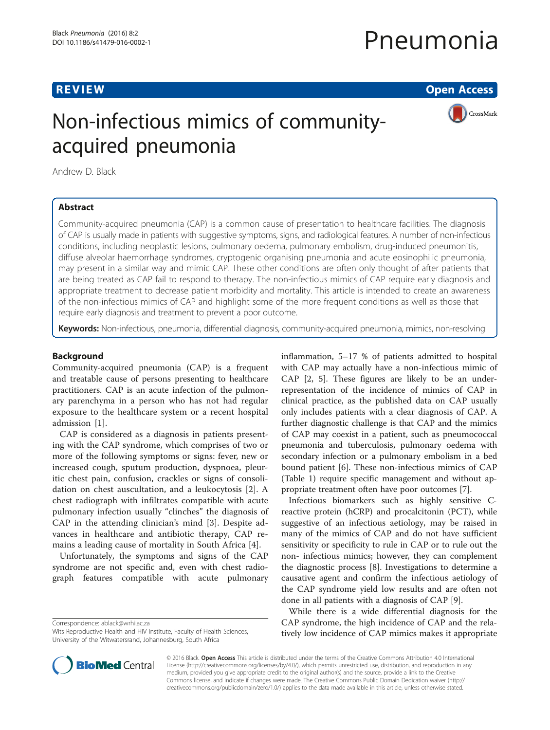# Pneumonia

**REVIEW CONSTRUCTION CONSTRUCTION CONSTRUCTS** 

CrossMark

# Non-infectious mimics of communityacquired pneumonia

Andrew D. Black

# Abstract

Community-acquired pneumonia (CAP) is a common cause of presentation to healthcare facilities. The diagnosis of CAP is usually made in patients with suggestive symptoms, signs, and radiological features. A number of non-infectious conditions, including neoplastic lesions, pulmonary oedema, pulmonary embolism, drug-induced pneumonitis, diffuse alveolar haemorrhage syndromes, cryptogenic organising pneumonia and acute eosinophilic pneumonia, may present in a similar way and mimic CAP. These other conditions are often only thought of after patients that are being treated as CAP fail to respond to therapy. The non-infectious mimics of CAP require early diagnosis and appropriate treatment to decrease patient morbidity and mortality. This article is intended to create an awareness of the non-infectious mimics of CAP and highlight some of the more frequent conditions as well as those that require early diagnosis and treatment to prevent a poor outcome.

Keywords: Non-infectious, pneumonia, differential diagnosis, community-acquired pneumonia, mimics, non-resolving

## Background

Community-acquired pneumonia (CAP) is a frequent and treatable cause of persons presenting to healthcare practitioners. CAP is an acute infection of the pulmonary parenchyma in a person who has not had regular exposure to the healthcare system or a recent hospital admission [[1\]](#page-3-0).

CAP is considered as a diagnosis in patients presenting with the CAP syndrome, which comprises of two or more of the following symptoms or signs: fever, new or increased cough, sputum production, dyspnoea, pleuritic chest pain, confusion, crackles or signs of consolidation on chest auscultation, and a leukocytosis [\[2](#page-3-0)]. A chest radiograph with infiltrates compatible with acute pulmonary infection usually "clinches" the diagnosis of CAP in the attending clinician's mind [[3](#page-3-0)]. Despite advances in healthcare and antibiotic therapy, CAP remains a leading cause of mortality in South Africa [\[4](#page-3-0)].

Unfortunately, the symptoms and signs of the CAP syndrome are not specific and, even with chest radiograph features compatible with acute pulmonary

Correspondence: [ablack@wrhi.ac.za](mailto:ablack@wrhi.ac.za)

inflammation, 5–17 % of patients admitted to hospital with CAP may actually have a non-infectious mimic of CAP [[2](#page-3-0), [5\]](#page-3-0). These figures are likely to be an underrepresentation of the incidence of mimics of CAP in clinical practice, as the published data on CAP usually only includes patients with a clear diagnosis of CAP. A further diagnostic challenge is that CAP and the mimics of CAP may coexist in a patient, such as pneumococcal pneumonia and tuberculosis, pulmonary oedema with secondary infection or a pulmonary embolism in a bed bound patient [[6\]](#page-3-0). These non-infectious mimics of CAP (Table [1](#page-1-0)) require specific management and without appropriate treatment often have poor outcomes [[7\]](#page-3-0).

Infectious biomarkers such as highly sensitive Creactive protein (hCRP) and procalcitonin (PCT), while suggestive of an infectious aetiology, may be raised in many of the mimics of CAP and do not have sufficient sensitivity or specificity to rule in CAP or to rule out the non- infectious mimics; however, they can complement the diagnostic process [\[8](#page-3-0)]. Investigations to determine a causative agent and confirm the infectious aetiology of the CAP syndrome yield low results and are often not done in all patients with a diagnosis of CAP [\[9](#page-3-0)].

While there is a wide differential diagnosis for the CAP syndrome, the high incidence of CAP and the relatively low incidence of CAP mimics makes it appropriate



© 2016 Black. Open Access This article is distributed under the terms of the Creative Commons Attribution 4.0 International License ([http://creativecommons.org/licenses/by/4.0/\)](http://creativecommons.org/licenses/by/4.0/), which permits unrestricted use, distribution, and reproduction in any medium, provided you give appropriate credit to the original author(s) and the source, provide a link to the Creative Commons license, and indicate if changes were made. The Creative Commons Public Domain Dedication waiver ([http://](http://creativecommons.org/publicdomain/zero/1.0/) [creativecommons.org/publicdomain/zero/1.0/\)](http://creativecommons.org/publicdomain/zero/1.0/) applies to the data made available in this article, unless otherwise stated.

Wits Reproductive Health and HIV Institute, Faculty of Health Sciences, University of the Witwatersrand, Johannesburg, South Africa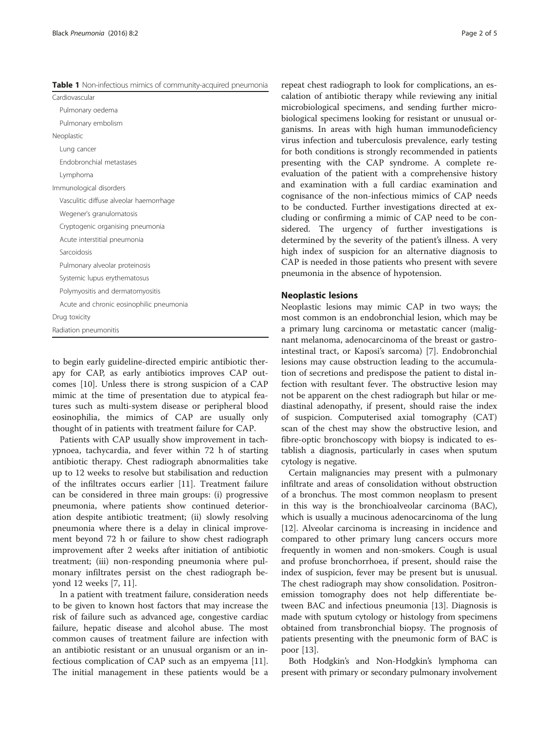<span id="page-1-0"></span>

| Cardiovascular                           |
|------------------------------------------|
| Pulmonary oedema                         |
| Pulmonary embolism                       |
| Neoplastic                               |
| Lung cancer                              |
| Endobronchial metastases                 |
| Lymphoma                                 |
| Immunological disorders                  |
| Vasculitic diffuse alveolar haemorrhage  |
| Wegener's granulomatosis                 |
| Cryptogenic organising pneumonia         |
| Acute interstitial pneumonia             |
| Sarcoidosis                              |
| Pulmonary alveolar proteinosis           |
| Systemic lupus erythematosus             |
| Polymyositis and dermatomyositis         |
| Acute and chronic eosinophilic pneumonia |
| Drug toxicity                            |
| Radiation pneumonitis                    |

to begin early guideline-directed empiric antibiotic therapy for CAP, as early antibiotics improves CAP outcomes [\[10\]](#page-3-0). Unless there is strong suspicion of a CAP mimic at the time of presentation due to atypical features such as multi-system disease or peripheral blood eosinophilia, the mimics of CAP are usually only thought of in patients with treatment failure for CAP.

Patients with CAP usually show improvement in tachypnoea, tachycardia, and fever within 72 h of starting antibiotic therapy. Chest radiograph abnormalities take up to 12 weeks to resolve but stabilisation and reduction of the infiltrates occurs earlier [\[11](#page-4-0)]. Treatment failure can be considered in three main groups: (i) progressive pneumonia, where patients show continued deterioration despite antibiotic treatment; (ii) slowly resolving pneumonia where there is a delay in clinical improvement beyond 72 h or failure to show chest radiograph improvement after 2 weeks after initiation of antibiotic treatment; (iii) non-responding pneumonia where pulmonary infiltrates persist on the chest radiograph beyond 12 weeks [\[7,](#page-3-0) [11\]](#page-4-0).

In a patient with treatment failure, consideration needs to be given to known host factors that may increase the risk of failure such as advanced age, congestive cardiac failure, hepatic disease and alcohol abuse. The most common causes of treatment failure are infection with an antibiotic resistant or an unusual organism or an infectious complication of CAP such as an empyema [\[11](#page-4-0)]. The initial management in these patients would be a repeat chest radiograph to look for complications, an escalation of antibiotic therapy while reviewing any initial microbiological specimens, and sending further microbiological specimens looking for resistant or unusual organisms. In areas with high human immunodeficiency virus infection and tuberculosis prevalence, early testing for both conditions is strongly recommended in patients presenting with the CAP syndrome. A complete reevaluation of the patient with a comprehensive history and examination with a full cardiac examination and cognisance of the non-infectious mimics of CAP needs to be conducted. Further investigations directed at excluding or confirming a mimic of CAP need to be considered. The urgency of further investigations is determined by the severity of the patient's illness. A very high index of suspicion for an alternative diagnosis to CAP is needed in those patients who present with severe pneumonia in the absence of hypotension.

#### Neoplastic lesions

Neoplastic lesions may mimic CAP in two ways; the most common is an endobronchial lesion, which may be a primary lung carcinoma or metastatic cancer (malignant melanoma, adenocarcinoma of the breast or gastrointestinal tract, or Kaposi's sarcoma) [[7\]](#page-3-0). Endobronchial lesions may cause obstruction leading to the accumulation of secretions and predispose the patient to distal infection with resultant fever. The obstructive lesion may not be apparent on the chest radiograph but hilar or mediastinal adenopathy, if present, should raise the index of suspicion. Computerised axial tomography (CAT) scan of the chest may show the obstructive lesion, and fibre-optic bronchoscopy with biopsy is indicated to establish a diagnosis, particularly in cases when sputum cytology is negative.

Certain malignancies may present with a pulmonary infiltrate and areas of consolidation without obstruction of a bronchus. The most common neoplasm to present in this way is the bronchioalveolar carcinoma (BAC), which is usually a mucinous adenocarcinoma of the lung [[12\]](#page-4-0). Alveolar carcinoma is increasing in incidence and compared to other primary lung cancers occurs more frequently in women and non-smokers. Cough is usual and profuse bronchorrhoea, if present, should raise the index of suspicion, fever may be present but is unusual. The chest radiograph may show consolidation. Positronemission tomography does not help differentiate between BAC and infectious pneumonia [\[13](#page-4-0)]. Diagnosis is made with sputum cytology or histology from specimens obtained from transbronchial biopsy. The prognosis of patients presenting with the pneumonic form of BAC is poor [[13\]](#page-4-0).

Both Hodgkin's and Non-Hodgkin's lymphoma can present with primary or secondary pulmonary involvement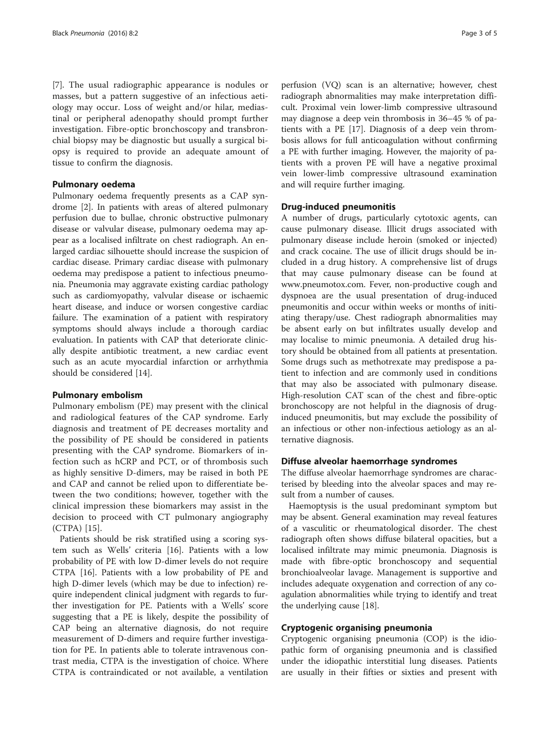[[7](#page-3-0)]. The usual radiographic appearance is nodules or masses, but a pattern suggestive of an infectious aetiology may occur. Loss of weight and/or hilar, mediastinal or peripheral adenopathy should prompt further investigation. Fibre-optic bronchoscopy and transbronchial biopsy may be diagnostic but usually a surgical biopsy is required to provide an adequate amount of tissue to confirm the diagnosis.

# Pulmonary oedema

Pulmonary oedema frequently presents as a CAP syndrome [[2\]](#page-3-0). In patients with areas of altered pulmonary perfusion due to bullae, chronic obstructive pulmonary disease or valvular disease, pulmonary oedema may appear as a localised infiltrate on chest radiograph. An enlarged cardiac silhouette should increase the suspicion of cardiac disease. Primary cardiac disease with pulmonary oedema may predispose a patient to infectious pneumonia. Pneumonia may aggravate existing cardiac pathology such as cardiomyopathy, valvular disease or ischaemic heart disease, and induce or worsen congestive cardiac failure. The examination of a patient with respiratory symptoms should always include a thorough cardiac evaluation. In patients with CAP that deteriorate clinically despite antibiotic treatment, a new cardiac event such as an acute myocardial infarction or arrhythmia should be considered [[14\]](#page-4-0).

#### Pulmonary embolism

Pulmonary embolism (PE) may present with the clinical and radiological features of the CAP syndrome. Early diagnosis and treatment of PE decreases mortality and the possibility of PE should be considered in patients presenting with the CAP syndrome. Biomarkers of infection such as hCRP and PCT, or of thrombosis such as highly sensitive D-dimers, may be raised in both PE and CAP and cannot be relied upon to differentiate between the two conditions; however, together with the clinical impression these biomarkers may assist in the decision to proceed with CT pulmonary angiography (CTPA) [\[15](#page-4-0)].

Patients should be risk stratified using a scoring system such as Wells' criteria [[16\]](#page-4-0). Patients with a low probability of PE with low D-dimer levels do not require CTPA [[16\]](#page-4-0). Patients with a low probability of PE and high D-dimer levels (which may be due to infection) require independent clinical judgment with regards to further investigation for PE. Patients with a Wells' score suggesting that a PE is likely, despite the possibility of CAP being an alternative diagnosis, do not require measurement of D-dimers and require further investigation for PE. In patients able to tolerate intravenous contrast media, CTPA is the investigation of choice. Where CTPA is contraindicated or not available, a ventilation

perfusion (VQ) scan is an alternative; however, chest radiograph abnormalities may make interpretation difficult. Proximal vein lower-limb compressive ultrasound may diagnose a deep vein thrombosis in 36–45 % of patients with a PE [[17\]](#page-4-0). Diagnosis of a deep vein thrombosis allows for full anticoagulation without confirming a PE with further imaging. However, the majority of patients with a proven PE will have a negative proximal vein lower-limb compressive ultrasound examination and will require further imaging.

### Drug-induced pneumonitis

A number of drugs, particularly cytotoxic agents, can cause pulmonary disease. Illicit drugs associated with pulmonary disease include heroin (smoked or injected) and crack cocaine. The use of illicit drugs should be included in a drug history. A comprehensive list of drugs that may cause pulmonary disease can be found at [www.pneumotox.com.](http://www.pneumotox.com/) Fever, non-productive cough and dyspnoea are the usual presentation of drug-induced pneumonitis and occur within weeks or months of initiating therapy/use. Chest radiograph abnormalities may be absent early on but infiltrates usually develop and may localise to mimic pneumonia. A detailed drug history should be obtained from all patients at presentation. Some drugs such as methotrexate may predispose a patient to infection and are commonly used in conditions that may also be associated with pulmonary disease. High-resolution CAT scan of the chest and fibre-optic bronchoscopy are not helpful in the diagnosis of druginduced pneumonitis, but may exclude the possibility of an infectious or other non-infectious aetiology as an alternative diagnosis.

#### Diffuse alveolar haemorrhage syndromes

The diffuse alveolar haemorrhage syndromes are characterised by bleeding into the alveolar spaces and may result from a number of causes.

Haemoptysis is the usual predominant symptom but may be absent. General examination may reveal features of a vasculitic or rheumatological disorder. The chest radiograph often shows diffuse bilateral opacities, but a localised infiltrate may mimic pneumonia. Diagnosis is made with fibre-optic bronchoscopy and sequential bronchioalveolar lavage. Management is supportive and includes adequate oxygenation and correction of any coagulation abnormalities while trying to identify and treat the underlying cause [[18](#page-4-0)].

# Cryptogenic organising pneumonia

Cryptogenic organising pneumonia (COP) is the idiopathic form of organising pneumonia and is classified under the idiopathic interstitial lung diseases. Patients are usually in their fifties or sixties and present with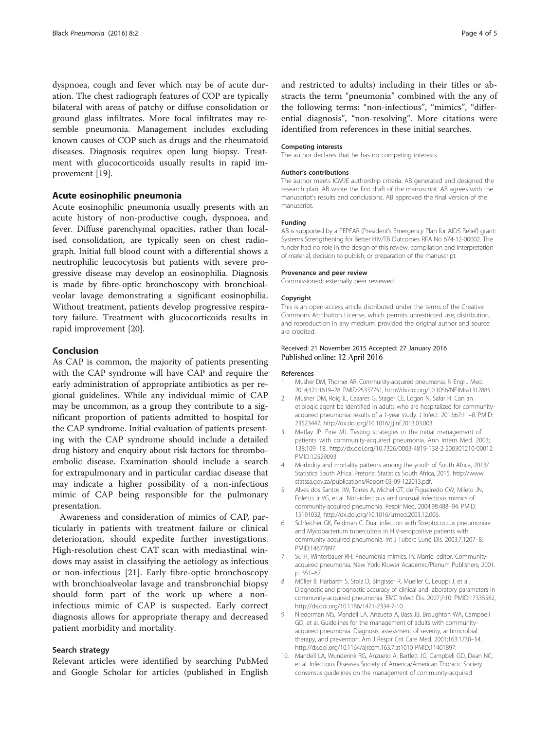<span id="page-3-0"></span>dyspnoea, cough and fever which may be of acute duration. The chest radiograph features of COP are typically bilateral with areas of patchy or diffuse consolidation or ground glass infiltrates. More focal infiltrates may resemble pneumonia. Management includes excluding known causes of COP such as drugs and the rheumatoid diseases. Diagnosis requires open lung biopsy. Treatment with glucocorticoids usually results in rapid improvement [[19\]](#page-4-0).

# Acute eosinophilic pneumonia

Acute eosinophilic pneumonia usually presents with an acute history of non-productive cough, dyspnoea, and fever. Diffuse parenchymal opacities, rather than localised consolidation, are typically seen on chest radiograph. Initial full blood count with a differential shows a neutrophilic leucocytosis but patients with severe progressive disease may develop an eosinophilia. Diagnosis is made by fibre-optic bronchoscopy with bronchioalveolar lavage demonstrating a significant eosinophilia. Without treatment, patients develop progressive respiratory failure. Treatment with glucocorticoids results in rapid improvement [[20](#page-4-0)].

## Conclusion

As CAP is common, the majority of patients presenting with the CAP syndrome will have CAP and require the early administration of appropriate antibiotics as per regional guidelines. While any individual mimic of CAP may be uncommon, as a group they contribute to a significant proportion of patients admitted to hospital for the CAP syndrome. Initial evaluation of patients presenting with the CAP syndrome should include a detailed drug history and enquiry about risk factors for thromboembolic disease. Examination should include a search for extrapulmonary and in particular cardiac disease that may indicate a higher possibility of a non-infectious mimic of CAP being responsible for the pulmonary presentation.

Awareness and consideration of mimics of CAP, particularly in patients with treatment failure or clinical deterioration, should expedite further investigations. High-resolution chest CAT scan with mediastinal windows may assist in classifying the aetiology as infectious or non-infectious [[21\]](#page-4-0). Early fibre-optic bronchoscopy with bronchioalveolar lavage and transbronchial biopsy should form part of the work up where a noninfectious mimic of CAP is suspected. Early correct diagnosis allows for appropriate therapy and decreased patient morbidity and mortality.

#### Search strategy

Relevant articles were identified by searching PubMed and Google Scholar for articles (published in English

and restricted to adults) including in their titles or abstracts the term "pneumonia" combined with the any of the following terms: "non-infectious", "mimics", "differential diagnosis", "non-resolving". More citations were identified from references in these initial searches.

#### Competing interests

The author declares that he has no competing interests.

#### Author's contributions

The author meets ICMJE authorship criteria. AB generated and designed the research plan. AB wrote the first draft of the manuscript. AB agrees with the manuscript's results and conclusions. AB approved the final version of the manuscript.

#### Funding

AB is supported by a PEPFAR (President's Emergency Plan for AIDS Relief) grant: Systems Strengthening for Better HIV/TB Outcomes RFA No 674-12-00002. The funder had no role in the design of this review, compilation and interpretation of material, decision to publish, or preparation of the manuscript.

#### Provenance and peer review

Commissioned; externally peer reviewed.

#### Copyright

This is an open-access article distributed under the terms of the Creative Commons Attribution License, which permits unrestricted use, distribution, and reproduction in any medium, provided the original author and source are credited.

## Received: 21 November 2015 Accepted: 27 January 2016 Published online: 12 April 2016

#### References

- 1. Musher DM, Thorner AR. Community-acquired pneumonia. N Engl J Med. 2014;371:1619–28. PMID:25337751,<http://dx.doi.org/10.1056/NEJMra1312885>.
- 2. Musher DM, Roig IL, Cazares G, Stager CE, Logan N, Safar H. Can an etiologic agent be identified in adults who are hospitalized for communityacquired pneumonia: results of a 1-year study. J Infect. 2013;67:11–8. PMID: 23523447, [http://dx.doi.org/10.1016/j.jinf.2013.03.003.](http://dx.doi.org/10.1016/j.jinf.2013.03.003)
- 3. Metlay JP, Fine MJ. Testing strategies in the initial management of patients with community-acquired pneumonia. Ann Intern Med. 2003; 138:109–18.<http://dx.doi.org/10.7326/0003-4819-138-2-200301210-00012> PMID:12529093.
- 4. Morbidity and mortality patterns among the youth of South Africa, 2013/ Statistics South Africa. Pretoria: Statistics South Africa, 2015. [http://www.](http://www.statssa.gov.za/publications/Report-03-09-122013.pdf.) [statssa.gov.za/publications/Report-03-09-122013.pdf.](http://www.statssa.gov.za/publications/Report-03-09-122013.pdf.)
- 5. Alves dos Santos JW, Torres A, Michel GT, de Figueiredo CW, Mileto JN, Foletto Jr VG, et al. Non-infectious and unusual infectious mimics of community-acquired pneumonia. Respir Med. 2004;98:488–94. PMID: 15191032,<http://dx.doi.org/10.1016/j.rmed.2003.12.006>.
- 6. Schleicher GK, Feldman C. Dual infection with Streptococcus pneumoniae and Mycobacterium tuberculosis in HIV-seropositive patients with community acquired pneumonia. Int J Tuberc Lung Dis. 2003;7:1207–8. PMID:14677897.
- 7. Su H, Winterbauer RH. Pneumonia mimics. In: Marrie, editor. Communityacquired pneumonia. New York: Kluwer Academic/Plenum Publishers; 2001. p. 351–67.
- 8. Müller B, Harbarth S, Stolz D, Bingisser R, Mueller C, Leuppi J, et al. Diagnostic and prognostic accuracy of clinical and laboratory parameters in community-acquired pneumonia. BMC Infect Dis. 2007;7:10. PMID:17335562, <http://dx.doi.org/10.1186/1471-2334-7-10>.
- 9. Niederman MS, Mandell LA, Anzueto A, Bass JB, Broughton WA, Campbell GD, et al. Guidelines for the management of adults with communityacquired pneumonia. Diagnosis, assessment of severity, antimicrobial therapy, and prevention. Am J Respir Crit Care Med. 2001;163:1730–54. <http://dx.doi.org/10.1164/ajrccm.163.7.at1010> PMID:11401897.
- 10. Mandell LA, Wunderink RG, Anzueto A, Bartlett JG, Campbell GD, Dean NC, et al. Infectious Diseases Society of America/American Thoracic Society consensus guidelines on the management of community-acquired